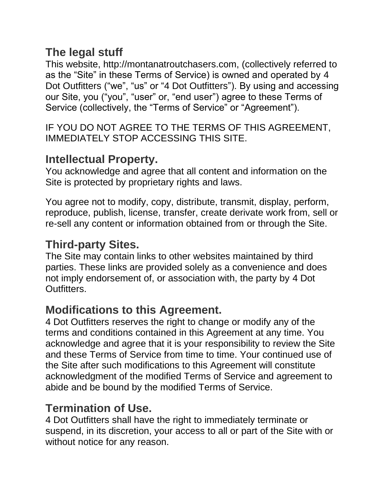#### **The legal stuff**

This website, http://montanatroutchasers.com, (collectively referred to as the "Site" in these Terms of Service) is owned and operated by 4 Dot Outfitters ("we", "us" or "4 Dot Outfitters"). By using and accessing our Site, you ("you", "user" or, "end user") agree to these Terms of Service (collectively, the "Terms of Service" or "Agreement").

IF YOU DO NOT AGREE TO THE TERMS OF THIS AGREEMENT, IMMEDIATELY STOP ACCESSING THIS SITE.

#### **Intellectual Property.**

You acknowledge and agree that all content and information on the Site is protected by proprietary rights and laws.

You agree not to modify, copy, distribute, transmit, display, perform, reproduce, publish, license, transfer, create derivate work from, sell or re-sell any content or information obtained from or through the Site.

### **Third-party Sites.**

The Site may contain links to other websites maintained by third parties. These links are provided solely as a convenience and does not imply endorsement of, or association with, the party by 4 Dot Outfitters.

# **Modifications to this Agreement.**

4 Dot Outfitters reserves the right to change or modify any of the terms and conditions contained in this Agreement at any time. You acknowledge and agree that it is your responsibility to review the Site and these Terms of Service from time to time. Your continued use of the Site after such modifications to this Agreement will constitute acknowledgment of the modified Terms of Service and agreement to abide and be bound by the modified Terms of Service.

### **Termination of Use.**

4 Dot Outfitters shall have the right to immediately terminate or suspend, in its discretion, your access to all or part of the Site with or without notice for any reason.